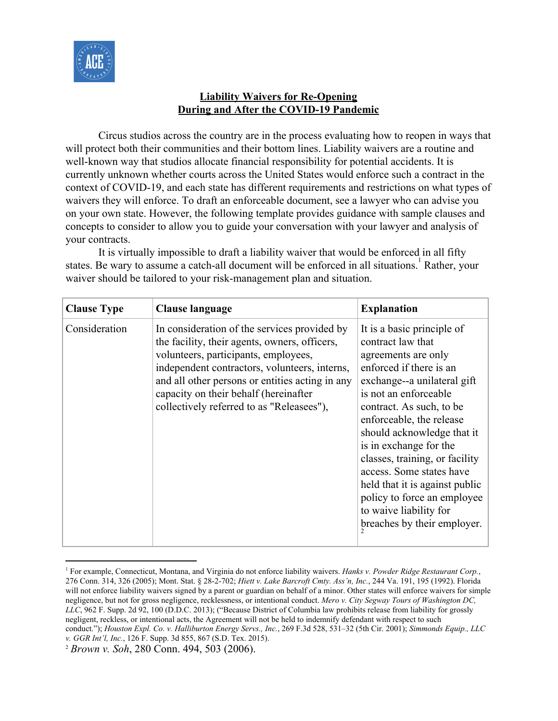

## **Liability Waivers for Re-Opening During and After the COVID-19 Pandemic**

Circus studios across the country are in the process evaluating how to reopen in ways that will protect both their communities and their bottom lines. Liability waivers are a routine and well-known way that studios allocate financial responsibility for potential accidents. It is currently unknown whether courts across the United States would enforce such a contract in the context of COVID-19, and each state has different requirements and restrictions on what types of waivers they will enforce. To draft an enforceable document, see a lawyer who can advise you on your own state. However, the following template provides guidance with sample clauses and concepts to consider to allow you to guide your conversation with your lawyer and analysis of your contracts.

It is virtually impossible to draft a liability waiver that would be enforced in all fifty states. Be wary to assume a catch-all document will be enforced in all situations. Rather, your waiver should be tailored to your risk-management plan and situation.

| <b>Clause Type</b> | Clause language                                                                                                                                                                                                                                                                                                                 | <b>Explanation</b>                                                                                                                                                                                                                                                                                                                                                                                                                                                |
|--------------------|---------------------------------------------------------------------------------------------------------------------------------------------------------------------------------------------------------------------------------------------------------------------------------------------------------------------------------|-------------------------------------------------------------------------------------------------------------------------------------------------------------------------------------------------------------------------------------------------------------------------------------------------------------------------------------------------------------------------------------------------------------------------------------------------------------------|
| Consideration      | In consideration of the services provided by<br>the facility, their agents, owners, officers,<br>volunteers, participants, employees,<br>independent contractors, volunteers, interns,<br>and all other persons or entities acting in any<br>capacity on their behalf (hereinafter<br>collectively referred to as "Releasees"), | It is a basic principle of<br>contract law that<br>agreements are only<br>enforced if there is an<br>exchange--a unilateral gift<br>is not an enforceable<br>contract. As such, to be<br>enforceable, the release<br>should acknowledge that it<br>is in exchange for the<br>classes, training, or facility<br>access. Some states have<br>held that it is against public<br>policy to force an employee<br>to waive liability for<br>breaches by their employer. |

<sup>1</sup> For example, Connecticut, Montana, and Virginia do not enforce liability waivers. *Hanks v. Powder Ridge Restaurant Corp.*, 276 Conn. 314, 326 (2005); Mont. Stat. § 28-2-702; *Hiett v. Lake Barcroft Cmty. Ass'n, Inc.*, 244 Va. 191, 195 (1992). Florida will not enforce liability waivers signed by a parent or guardian on behalf of a minor. Other states will enforce waivers for simple negligence, but not for gross negligence, recklessness, or intentional conduct. *Mero v. City Segway Tours of Washington DC, LLC*, 962 F. Supp. 2d 92, 100 (D.D.C. 2013); ("Because District of Columbia law prohibits release from liability for grossly negligent, reckless, or intentional acts, the Agreement will not be held to indemnify defendant with respect to such conduct."); *Houston Expl. Co. v. Halliburton Energy Servs., Inc.*, 269 F.3d 528, 531–32 (5th Cir. 2001); *Simmonds Equip., LLC v. GGR Int'l, Inc.*, 126 F. Supp. 3d 855, 867 (S.D. Tex. 2015).

<sup>2</sup> *Brown v. Soh*, 280 Conn. 494, 503 (2006).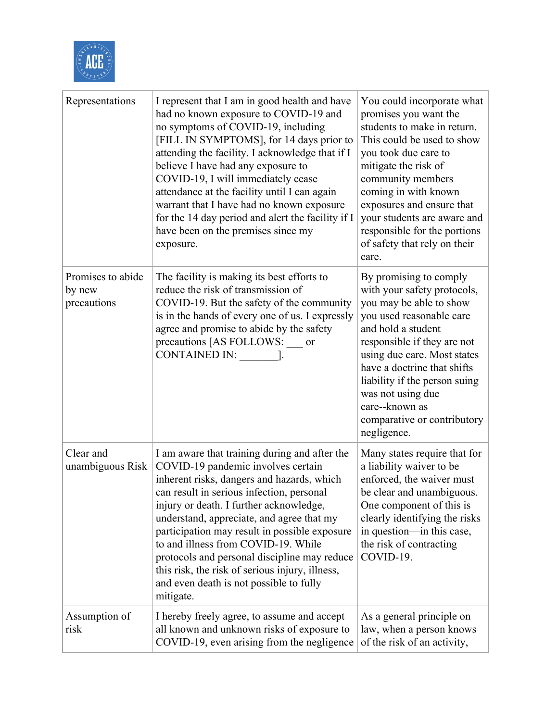

| Representations                            | I represent that I am in good health and have<br>had no known exposure to COVID-19 and<br>no symptoms of COVID-19, including<br>[FILL IN SYMPTOMS], for 14 days prior to<br>attending the facility. I acknowledge that if I<br>believe I have had any exposure to<br>COVID-19, I will immediately cease<br>attendance at the facility until I can again<br>warrant that I have had no known exposure<br>for the 14 day period and alert the facility if I<br>have been on the premises since my<br>exposure.              | You could incorporate what<br>promises you want the<br>students to make in return.<br>This could be used to show<br>you took due care to<br>mitigate the risk of<br>community members<br>coming in with known<br>exposures and ensure that<br>your students are aware and<br>responsible for the portions<br>of safety that rely on their<br>care.    |
|--------------------------------------------|---------------------------------------------------------------------------------------------------------------------------------------------------------------------------------------------------------------------------------------------------------------------------------------------------------------------------------------------------------------------------------------------------------------------------------------------------------------------------------------------------------------------------|-------------------------------------------------------------------------------------------------------------------------------------------------------------------------------------------------------------------------------------------------------------------------------------------------------------------------------------------------------|
| Promises to abide<br>by new<br>precautions | The facility is making its best efforts to<br>reduce the risk of transmission of<br>COVID-19. But the safety of the community<br>is in the hands of every one of us. I expressly<br>agree and promise to abide by the safety<br>precautions [AS FOLLOWS: ___ or<br>CONTAINED IN:                                                                                                                                                                                                                                          | By promising to comply<br>with your safety protocols,<br>you may be able to show<br>you used reasonable care<br>and hold a student<br>responsible if they are not<br>using due care. Most states<br>have a doctrine that shifts<br>liability if the person suing<br>was not using due<br>care--known as<br>comparative or contributory<br>negligence. |
| Clear and<br>unambiguous Risk              | I am aware that training during and after the<br>COVID-19 pandemic involves certain<br>inherent risks, dangers and hazards, which<br>can result in serious infection, personal<br>injury or death. I further acknowledge,<br>understand, appreciate, and agree that my<br>participation may result in possible exposure<br>to and illness from COVID-19. While<br>protocols and personal discipline may reduce<br>this risk, the risk of serious injury, illness,<br>and even death is not possible to fully<br>mitigate. | Many states require that for<br>a liability waiver to be<br>enforced, the waiver must<br>be clear and unambiguous.<br>One component of this is<br>clearly identifying the risks<br>in question—in this case,<br>the risk of contracting<br>COVID-19.                                                                                                  |
| Assumption of<br>risk                      | I hereby freely agree, to assume and accept<br>all known and unknown risks of exposure to<br>COVID-19, even arising from the negligence                                                                                                                                                                                                                                                                                                                                                                                   | As a general principle on<br>law, when a person knows<br>of the risk of an activity,                                                                                                                                                                                                                                                                  |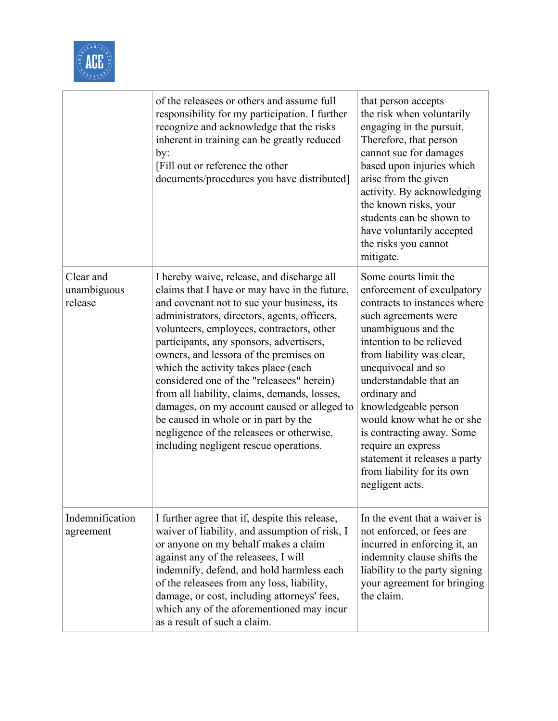

|                                     | of the releasees or others and assume full<br>responsibility for my participation. I further<br>recognize and acknowledge that the risks<br>inherent in training can be greatly reduced<br>by:<br>[Fill out or reference the other<br>documents/procedures you have distributed]                                                                                                                                                                                                                                                                                                                                                                | that person accepts<br>the risk when voluntarily<br>engaging in the pursuit.<br>Therefore, that person<br>cannot sue for damages<br>based upon injuries which<br>arise from the given<br>activity. By acknowledging<br>the known risks, your<br>students can be shown to<br>have voluntarily accepted<br>the risks you cannot<br>mitigate.                                                                                                            |
|-------------------------------------|-------------------------------------------------------------------------------------------------------------------------------------------------------------------------------------------------------------------------------------------------------------------------------------------------------------------------------------------------------------------------------------------------------------------------------------------------------------------------------------------------------------------------------------------------------------------------------------------------------------------------------------------------|-------------------------------------------------------------------------------------------------------------------------------------------------------------------------------------------------------------------------------------------------------------------------------------------------------------------------------------------------------------------------------------------------------------------------------------------------------|
| Clear and<br>unambiguous<br>release | I hereby waive, release, and discharge all<br>claims that I have or may have in the future,<br>and covenant not to sue your business, its<br>administrators, directors, agents, officers,<br>volunteers, employees, contractors, other<br>participants, any sponsors, advertisers,<br>owners, and lessora of the premises on<br>which the activity takes place (each<br>considered one of the "releasees" herein)<br>from all liability, claims, demands, losses,<br>damages, on my account caused or alleged to<br>be caused in whole or in part by the<br>negligence of the releasees or otherwise,<br>including negligent rescue operations. | Some courts limit the<br>enforcement of exculpatory<br>contracts to instances where<br>such agreements were<br>unambiguous and the<br>intention to be relieved<br>from liability was clear,<br>unequivocal and so<br>understandable that an<br>ordinary and<br>knowledgeable person<br>would know what he or she<br>is contracting away. Some<br>require an express<br>statement it releases a party<br>from liability for its own<br>negligent acts. |
| Indemnification<br>agreement        | I further agree that if, despite this release,<br>waiver of liability, and assumption of risk, I<br>or anyone on my behalf makes a claim<br>against any of the releasees, I will<br>indemnify, defend, and hold harmless each<br>of the releasees from any loss, liability,<br>damage, or cost, including attorneys' fees,<br>which any of the aforementioned may incur<br>as a result of such a claim.                                                                                                                                                                                                                                         | In the event that a waiver is<br>not enforced, or fees are<br>incurred in enforcing it, an<br>indemnity clause shifts the<br>liability to the party signing<br>your agreement for bringing<br>the claim.                                                                                                                                                                                                                                              |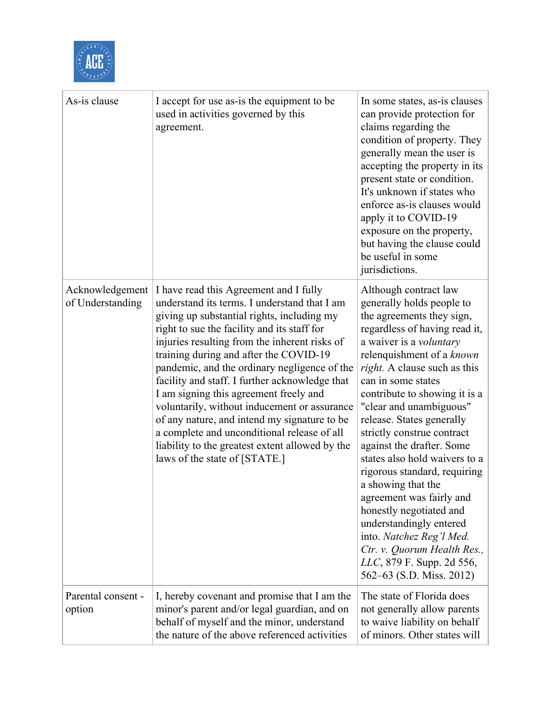

| As-is clause                        | I accept for use as-is the equipment to be<br>used in activities governed by this<br>agreement.                                                                                                                                                                                                                                                                                                                                                                                                                                                                                                                                                               | In some states, as-is clauses<br>can provide protection for<br>claims regarding the<br>condition of property. They<br>generally mean the user is<br>accepting the property in its<br>present state or condition.<br>It's unknown if states who<br>enforce as-is clauses would<br>apply it to COVID-19<br>exposure on the property,<br>but having the clause could<br>be useful in some<br>jurisdictions.                                                                                                                                                                                                                                                                               |
|-------------------------------------|---------------------------------------------------------------------------------------------------------------------------------------------------------------------------------------------------------------------------------------------------------------------------------------------------------------------------------------------------------------------------------------------------------------------------------------------------------------------------------------------------------------------------------------------------------------------------------------------------------------------------------------------------------------|----------------------------------------------------------------------------------------------------------------------------------------------------------------------------------------------------------------------------------------------------------------------------------------------------------------------------------------------------------------------------------------------------------------------------------------------------------------------------------------------------------------------------------------------------------------------------------------------------------------------------------------------------------------------------------------|
| Acknowledgement<br>of Understanding | I have read this Agreement and I fully<br>understand its terms. I understand that I am<br>giving up substantial rights, including my<br>right to sue the facility and its staff for<br>injuries resulting from the inherent risks of<br>training during and after the COVID-19<br>pandemic, and the ordinary negligence of the<br>facility and staff. I further acknowledge that<br>I am signing this agreement freely and<br>voluntarily, without inducement or assurance<br>of any nature, and intend my signature to be<br>a complete and unconditional release of all<br>liability to the greatest extent allowed by the<br>laws of the state of [STATE.] | Although contract law<br>generally holds people to<br>the agreements they sign,<br>regardless of having read it,<br>a waiver is a <i>voluntary</i><br>relenquishment of a known<br>right. A clause such as this<br>can in some states<br>contribute to showing it is a<br>"clear and unambiguous"<br>release. States generally<br>strictly construe contract<br>against the drafter. Some<br>states also hold waivers to a<br>rigorous standard, requiring<br>a showing that the<br>agreement was fairly and<br>honestly negotiated and<br>understandingly entered<br>into. Natchez Reg'l Med.<br>Ctr. v. Quorum Health Res.,<br>LLC, 879 F. Supp. 2d 556,<br>562–63 (S.D. Miss. 2012) |
| Parental consent -<br>option        | I, hereby covenant and promise that I am the<br>minor's parent and/or legal guardian, and on<br>behalf of myself and the minor, understand<br>the nature of the above referenced activities                                                                                                                                                                                                                                                                                                                                                                                                                                                                   | The state of Florida does<br>not generally allow parents<br>to waive liability on behalf<br>of minors. Other states will                                                                                                                                                                                                                                                                                                                                                                                                                                                                                                                                                               |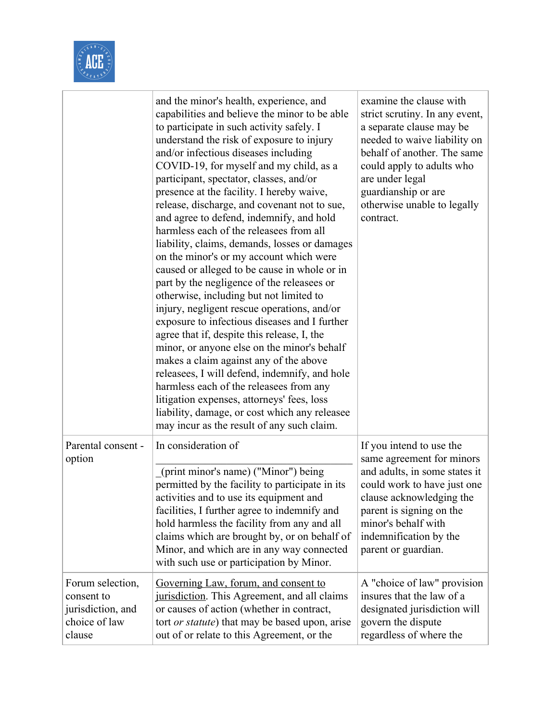

|                                                                                | and the minor's health, experience, and<br>capabilities and believe the minor to be able<br>to participate in such activity safely. I<br>understand the risk of exposure to injury<br>and/or infectious diseases including<br>COVID-19, for myself and my child, as a<br>participant, spectator, classes, and/or<br>presence at the facility. I hereby waive,<br>release, discharge, and covenant not to sue,<br>and agree to defend, indemnify, and hold<br>harmless each of the releasees from all<br>liability, claims, demands, losses or damages<br>on the minor's or my account which were<br>caused or alleged to be cause in whole or in<br>part by the negligence of the releasees or<br>otherwise, including but not limited to<br>injury, negligent rescue operations, and/or<br>exposure to infectious diseases and I further<br>agree that if, despite this release, I, the<br>minor, or anyone else on the minor's behalf<br>makes a claim against any of the above<br>releasees, I will defend, indemnify, and hole<br>harmless each of the releasees from any<br>litigation expenses, attorneys' fees, loss<br>liability, damage, or cost which any releasee<br>may incur as the result of any such claim. | examine the clause with<br>strict scrutiny. In any event,<br>a separate clause may be<br>needed to waive liability on<br>behalf of another. The same<br>could apply to adults who<br>are under legal<br>guardianship or are<br>otherwise unable to legally<br>contract. |
|--------------------------------------------------------------------------------|----------------------------------------------------------------------------------------------------------------------------------------------------------------------------------------------------------------------------------------------------------------------------------------------------------------------------------------------------------------------------------------------------------------------------------------------------------------------------------------------------------------------------------------------------------------------------------------------------------------------------------------------------------------------------------------------------------------------------------------------------------------------------------------------------------------------------------------------------------------------------------------------------------------------------------------------------------------------------------------------------------------------------------------------------------------------------------------------------------------------------------------------------------------------------------------------------------------------------|-------------------------------------------------------------------------------------------------------------------------------------------------------------------------------------------------------------------------------------------------------------------------|
| Parental consent -<br>option                                                   | In consideration of<br>(print minor's name) ("Minor") being<br>permitted by the facility to participate in its<br>activities and to use its equipment and<br>facilities, I further agree to indemnify and<br>hold harmless the facility from any and all<br>claims which are brought by, or on behalf of<br>Minor, and which are in any way connected<br>with such use or participation by Minor.                                                                                                                                                                                                                                                                                                                                                                                                                                                                                                                                                                                                                                                                                                                                                                                                                          | If you intend to use the<br>same agreement for minors<br>and adults, in some states it<br>could work to have just one<br>clause acknowledging the<br>parent is signing on the<br>minor's behalf with<br>indemnification by the<br>parent or guardian.                   |
| Forum selection,<br>consent to<br>jurisdiction, and<br>choice of law<br>clause | Governing Law, forum, and consent to<br>jurisdiction. This Agreement, and all claims<br>or causes of action (whether in contract,<br>tort <i>or statute</i> ) that may be based upon, arise<br>out of or relate to this Agreement, or the                                                                                                                                                                                                                                                                                                                                                                                                                                                                                                                                                                                                                                                                                                                                                                                                                                                                                                                                                                                  | A "choice of law" provision<br>insures that the law of a<br>designated jurisdiction will<br>govern the dispute<br>regardless of where the                                                                                                                               |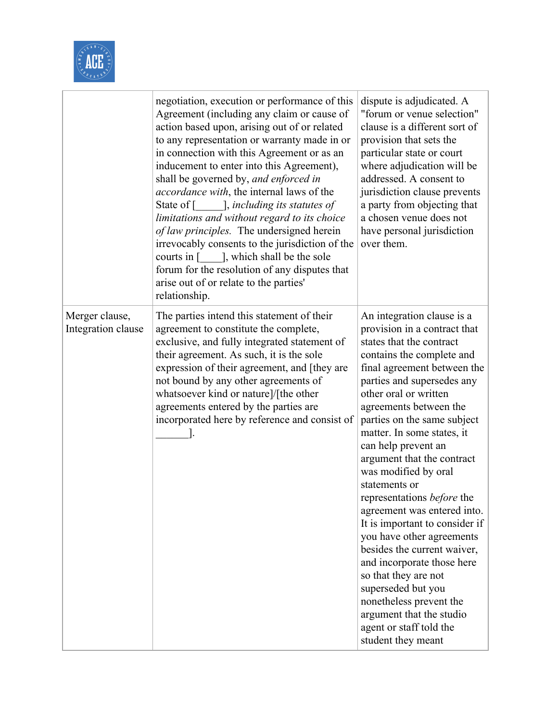

|                                      | negotiation, execution or performance of this<br>Agreement (including any claim or cause of<br>action based upon, arising out of or related<br>to any representation or warranty made in or<br>in connection with this Agreement or as an<br>inducement to enter into this Agreement),<br>shall be governed by, and enforced in<br><i>accordance with</i> , the internal laws of the<br>State of [ ], including its statutes of<br>limitations and without regard to its choice<br>of law principles. The undersigned herein<br>irrevocably consents to the jurisdiction of the<br>courts in [ ], which shall be the sole<br>forum for the resolution of any disputes that<br>arise out of or relate to the parties'<br>relationship. | dispute is adjudicated. A<br>"forum or venue selection"<br>clause is a different sort of<br>provision that sets the<br>particular state or court<br>where adjudication will be<br>addressed. A consent to<br>jurisdiction clause prevents<br>a party from objecting that<br>a chosen venue does not<br>have personal jurisdiction<br>over them.                                                                                                                                                                                                                                                                                                                                                                                               |
|--------------------------------------|---------------------------------------------------------------------------------------------------------------------------------------------------------------------------------------------------------------------------------------------------------------------------------------------------------------------------------------------------------------------------------------------------------------------------------------------------------------------------------------------------------------------------------------------------------------------------------------------------------------------------------------------------------------------------------------------------------------------------------------|-----------------------------------------------------------------------------------------------------------------------------------------------------------------------------------------------------------------------------------------------------------------------------------------------------------------------------------------------------------------------------------------------------------------------------------------------------------------------------------------------------------------------------------------------------------------------------------------------------------------------------------------------------------------------------------------------------------------------------------------------|
| Merger clause,<br>Integration clause | The parties intend this statement of their<br>agreement to constitute the complete,<br>exclusive, and fully integrated statement of<br>their agreement. As such, it is the sole<br>expression of their agreement, and [they are<br>not bound by any other agreements of<br>whatsoever kind or nature]/[the other<br>agreements entered by the parties are<br>incorporated here by reference and consist of                                                                                                                                                                                                                                                                                                                            | An integration clause is a<br>provision in a contract that<br>states that the contract<br>contains the complete and<br>final agreement between the<br>parties and supersedes any<br>other oral or written<br>agreements between the<br>parties on the same subject<br>matter. In some states, it<br>can help prevent an<br>argument that the contract<br>was modified by oral<br>statements or<br>representations before the<br>agreement was entered into.<br>It is important to consider if<br>you have other agreements<br>besides the current waiver,<br>and incorporate those here<br>so that they are not<br>superseded but you<br>nonetheless prevent the<br>argument that the studio<br>agent or staff told the<br>student they meant |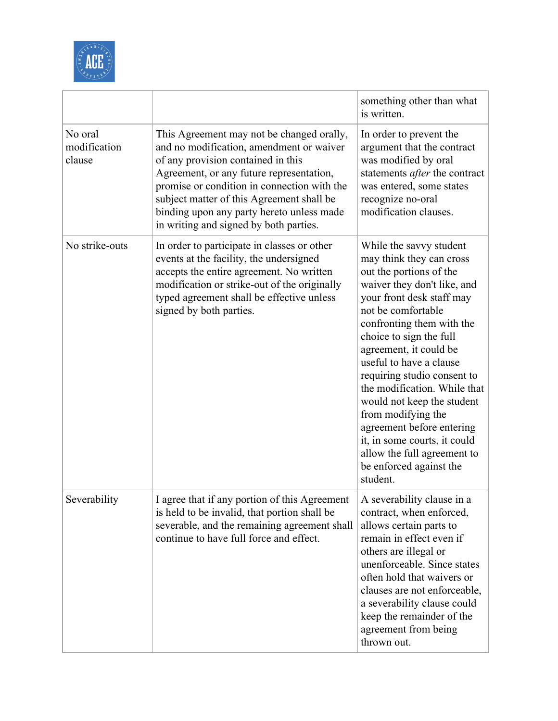

|                                   |                                                                                                                                                                                                                                                                                                                                                            | something other than what<br>is written.                                                                                                                                                                                                                                                                                                                                                                                                                                                                                            |
|-----------------------------------|------------------------------------------------------------------------------------------------------------------------------------------------------------------------------------------------------------------------------------------------------------------------------------------------------------------------------------------------------------|-------------------------------------------------------------------------------------------------------------------------------------------------------------------------------------------------------------------------------------------------------------------------------------------------------------------------------------------------------------------------------------------------------------------------------------------------------------------------------------------------------------------------------------|
| No oral<br>modification<br>clause | This Agreement may not be changed orally,<br>and no modification, amendment or waiver<br>of any provision contained in this<br>Agreement, or any future representation,<br>promise or condition in connection with the<br>subject matter of this Agreement shall be<br>binding upon any party hereto unless made<br>in writing and signed by both parties. | In order to prevent the<br>argument that the contract<br>was modified by oral<br>statements <i>after</i> the contract<br>was entered, some states<br>recognize no-oral<br>modification clauses.                                                                                                                                                                                                                                                                                                                                     |
| No strike-outs                    | In order to participate in classes or other<br>events at the facility, the undersigned<br>accepts the entire agreement. No written<br>modification or strike-out of the originally<br>typed agreement shall be effective unless<br>signed by both parties.                                                                                                 | While the savvy student<br>may think they can cross<br>out the portions of the<br>waiver they don't like, and<br>your front desk staff may<br>not be comfortable<br>confronting them with the<br>choice to sign the full<br>agreement, it could be<br>useful to have a clause<br>requiring studio consent to<br>the modification. While that<br>would not keep the student<br>from modifying the<br>agreement before entering<br>it, in some courts, it could<br>allow the full agreement to<br>be enforced against the<br>student. |
| Severability                      | I agree that if any portion of this Agreement<br>is held to be invalid, that portion shall be<br>severable, and the remaining agreement shall<br>continue to have full force and effect.                                                                                                                                                                   | A severability clause in a<br>contract, when enforced,<br>allows certain parts to<br>remain in effect even if<br>others are illegal or<br>unenforceable. Since states<br>often hold that waivers or<br>clauses are not enforceable,<br>a severability clause could<br>keep the remainder of the<br>agreement from being<br>thrown out.                                                                                                                                                                                              |